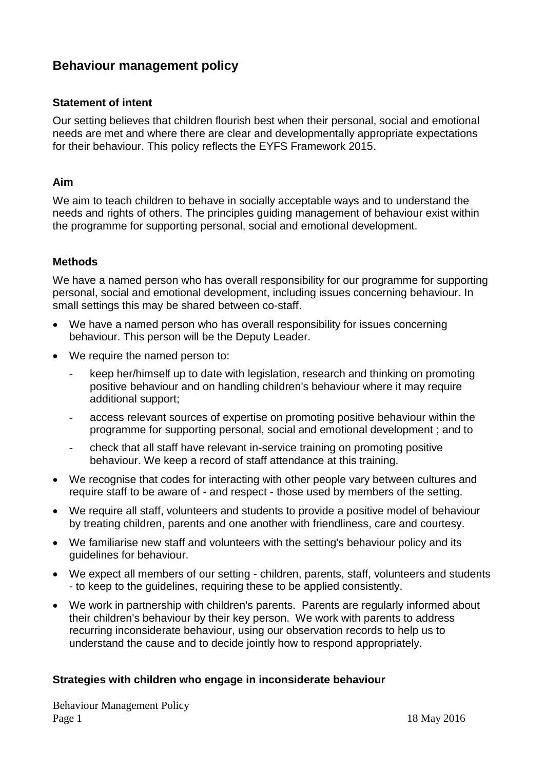# **Behaviour management policy**

#### **Statement of intent**

Our setting believes that children flourish best when their personal, social and emotional needs are met and where there are clear and developmentally appropriate expectations for their behaviour. This policy reflects the EYFS Framework 2015.

#### **Aim**

We aim to teach children to behave in socially acceptable ways and to understand the needs and rights of others. The principles guiding management of behaviour exist within the programme for supporting personal, social and emotional development.

### **Methods**

We have a named person who has overall responsibility for our programme for supporting personal, social and emotional development, including issues concerning behaviour. In small settings this may be shared between co-staff.

- We have a named person who has overall responsibility for issues concerning behaviour. This person will be the Deputy Leader.
- We require the named person to:
	- keep her/himself up to date with legislation, research and thinking on promoting positive behaviour and on handling children's behaviour where it may require additional support;
	- access relevant sources of expertise on promoting positive behaviour within the programme for supporting personal, social and emotional development ; and to
	- check that all staff have relevant in-service training on promoting positive behaviour. We keep a record of staff attendance at this training.
- We recognise that codes for interacting with other people vary between cultures and require staff to be aware of - and respect - those used by members of the setting.
- We require all staff, volunteers and students to provide a positive model of behaviour by treating children, parents and one another with friendliness, care and courtesy.
- We familiarise new staff and volunteers with the setting's behaviour policy and its guidelines for behaviour.
- We expect all members of our setting children, parents, staff, volunteers and students - to keep to the guidelines, requiring these to be applied consistently.
- We work in partnership with children's parents. Parents are regularly informed about their children's behaviour by their key person. We work with parents to address recurring inconsiderate behaviour, using our observation records to help us to understand the cause and to decide jointly how to respond appropriately.

#### **Strategies with children who engage in inconsiderate behaviour**

Behaviour Management Policy Page 1 18 May 2016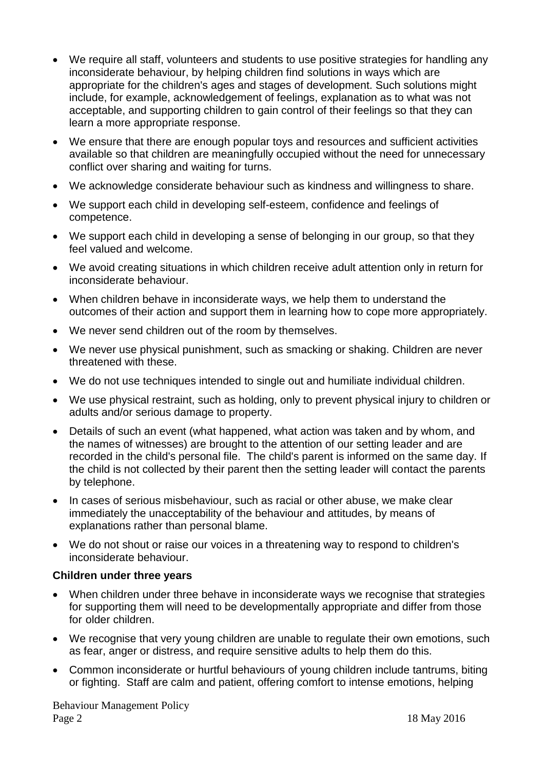- We require all staff, volunteers and students to use positive strategies for handling any inconsiderate behaviour, by helping children find solutions in ways which are appropriate for the children's ages and stages of development. Such solutions might include, for example, acknowledgement of feelings, explanation as to what was not acceptable, and supporting children to gain control of their feelings so that they can learn a more appropriate response.
- We ensure that there are enough popular toys and resources and sufficient activities available so that children are meaningfully occupied without the need for unnecessary conflict over sharing and waiting for turns.
- We acknowledge considerate behaviour such as kindness and willingness to share.
- We support each child in developing self-esteem, confidence and feelings of competence.
- We support each child in developing a sense of belonging in our group, so that they feel valued and welcome.
- We avoid creating situations in which children receive adult attention only in return for inconsiderate behaviour.
- When children behave in inconsiderate ways, we help them to understand the outcomes of their action and support them in learning how to cope more appropriately.
- We never send children out of the room by themselves.
- We never use physical punishment, such as smacking or shaking. Children are never threatened with these.
- We do not use techniques intended to single out and humiliate individual children.
- We use physical restraint, such as holding, only to prevent physical injury to children or adults and/or serious damage to property.
- Details of such an event (what happened, what action was taken and by whom, and the names of witnesses) are brought to the attention of our setting leader and are recorded in the child's personal file. The child's parent is informed on the same day. If the child is not collected by their parent then the setting leader will contact the parents by telephone.
- In cases of serious misbehaviour, such as racial or other abuse, we make clear immediately the unacceptability of the behaviour and attitudes, by means of explanations rather than personal blame.
- We do not shout or raise our voices in a threatening way to respond to children's inconsiderate behaviour.

#### **Children under three years**

- When children under three behave in inconsiderate ways we recognise that strategies for supporting them will need to be developmentally appropriate and differ from those for older children.
- We recognise that very young children are unable to regulate their own emotions, such as fear, anger or distress, and require sensitive adults to help them do this.
- Common inconsiderate or hurtful behaviours of young children include tantrums, biting or fighting. Staff are calm and patient, offering comfort to intense emotions, helping

Behaviour Management Policy Page 2 18 May 2016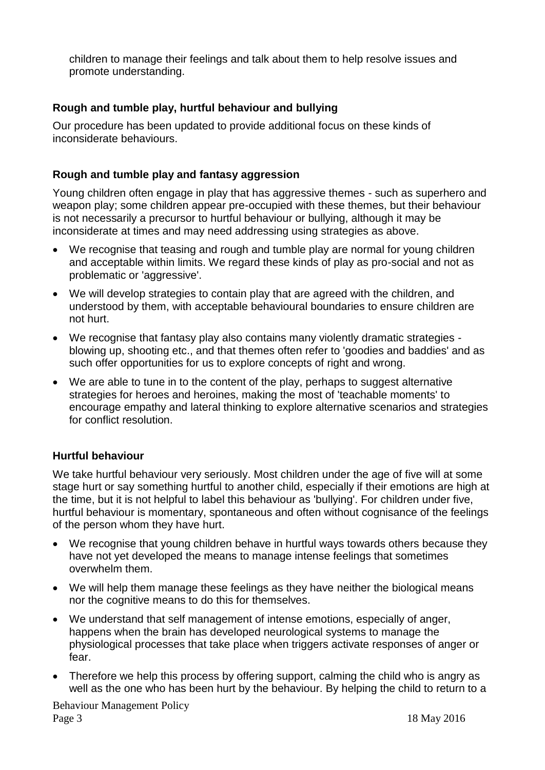children to manage their feelings and talk about them to help resolve issues and promote understanding.

# **Rough and tumble play, hurtful behaviour and bullying**

Our procedure has been updated to provide additional focus on these kinds of inconsiderate behaviours.

## **Rough and tumble play and fantasy aggression**

Young children often engage in play that has aggressive themes - such as superhero and weapon play; some children appear pre-occupied with these themes, but their behaviour is not necessarily a precursor to hurtful behaviour or bullying, although it may be inconsiderate at times and may need addressing using strategies as above.

- We recognise that teasing and rough and tumble play are normal for young children and acceptable within limits. We regard these kinds of play as pro-social and not as problematic or 'aggressive'.
- We will develop strategies to contain play that are agreed with the children, and understood by them, with acceptable behavioural boundaries to ensure children are not hurt.
- We recognise that fantasy play also contains many violently dramatic strategies blowing up, shooting etc., and that themes often refer to 'goodies and baddies' and as such offer opportunities for us to explore concepts of right and wrong.
- We are able to tune in to the content of the play, perhaps to suggest alternative strategies for heroes and heroines, making the most of 'teachable moments' to encourage empathy and lateral thinking to explore alternative scenarios and strategies for conflict resolution.

# **Hurtful behaviour**

We take hurtful behaviour very seriously. Most children under the age of five will at some stage hurt or say something hurtful to another child, especially if their emotions are high at the time, but it is not helpful to label this behaviour as 'bullying'. For children under five, hurtful behaviour is momentary, spontaneous and often without cognisance of the feelings of the person whom they have hurt.

- We recognise that young children behave in hurtful ways towards others because they have not yet developed the means to manage intense feelings that sometimes overwhelm them.
- We will help them manage these feelings as they have neither the biological means nor the cognitive means to do this for themselves.
- We understand that self management of intense emotions, especially of anger, happens when the brain has developed neurological systems to manage the physiological processes that take place when triggers activate responses of anger or fear.
- Therefore we help this process by offering support, calming the child who is angry as well as the one who has been hurt by the behaviour. By helping the child to return to a

Behaviour Management Policy Page 3 18 May 2016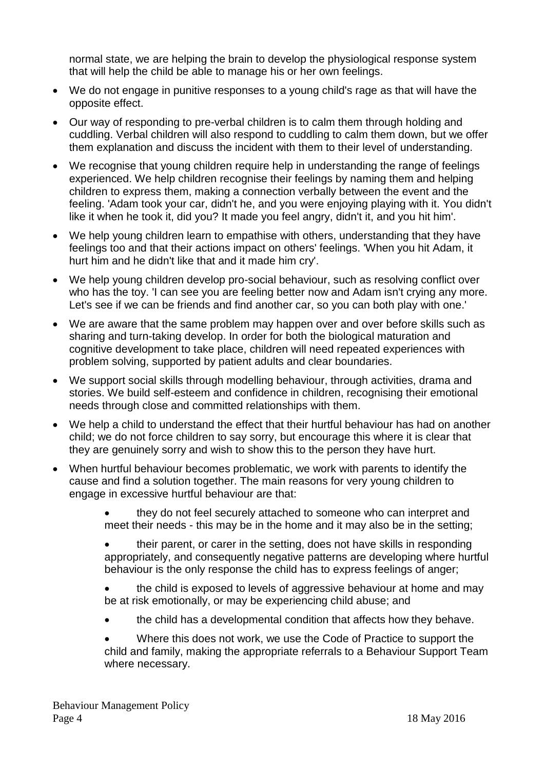normal state, we are helping the brain to develop the physiological response system that will help the child be able to manage his or her own feelings.

- We do not engage in punitive responses to a young child's rage as that will have the opposite effect.
- Our way of responding to pre-verbal children is to calm them through holding and cuddling. Verbal children will also respond to cuddling to calm them down, but we offer them explanation and discuss the incident with them to their level of understanding.
- We recognise that young children require help in understanding the range of feelings experienced. We help children recognise their feelings by naming them and helping children to express them, making a connection verbally between the event and the feeling. 'Adam took your car, didn't he, and you were enjoying playing with it. You didn't like it when he took it, did you? It made you feel angry, didn't it, and you hit him'.
- We help young children learn to empathise with others, understanding that they have feelings too and that their actions impact on others' feelings. 'When you hit Adam, it hurt him and he didn't like that and it made him cry'.
- We help young children develop pro-social behaviour, such as resolving conflict over who has the toy. 'I can see you are feeling better now and Adam isn't crying any more. Let's see if we can be friends and find another car, so you can both play with one.'
- We are aware that the same problem may happen over and over before skills such as sharing and turn-taking develop. In order for both the biological maturation and cognitive development to take place, children will need repeated experiences with problem solving, supported by patient adults and clear boundaries.
- We support social skills through modelling behaviour, through activities, drama and stories. We build self-esteem and confidence in children, recognising their emotional needs through close and committed relationships with them.
- We help a child to understand the effect that their hurtful behaviour has had on another child; we do not force children to say sorry, but encourage this where it is clear that they are genuinely sorry and wish to show this to the person they have hurt.
- When hurtful behaviour becomes problematic, we work with parents to identify the cause and find a solution together. The main reasons for very young children to engage in excessive hurtful behaviour are that:

 they do not feel securely attached to someone who can interpret and meet their needs - this may be in the home and it may also be in the setting;

 their parent, or carer in the setting, does not have skills in responding appropriately, and consequently negative patterns are developing where hurtful behaviour is the only response the child has to express feelings of anger;

 the child is exposed to levels of aggressive behaviour at home and may be at risk emotionally, or may be experiencing child abuse; and

the child has a developmental condition that affects how they behave.

 Where this does not work, we use the Code of Practice to support the child and family, making the appropriate referrals to a Behaviour Support Team where necessary.